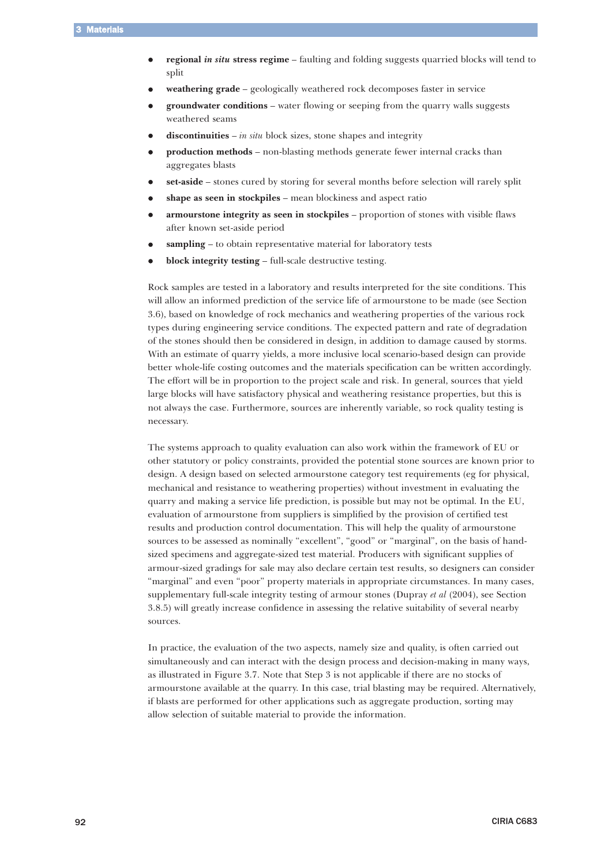- $\bullet$ **regional** *in situ* **stress regime** – faulting and folding suggests quarried blocks will tend to split
- $\bullet$ **weathering grade** – geologically weathered rock decomposes faster in service
- $\bullet$  **groundwater conditions** – water flowing or seeping from the quarry walls suggests weathered seams
- $\bullet$ **discontinuities** – *in situ* block sizes, stone shapes and integrity
- $\bullet$  **production methods** – non-blasting methods generate fewer internal cracks than aggregates blasts
- $\bullet$ **set-aside** – stones cured by storing for several months before selection will rarely split
- $\bullet$ **shape as seen in stockpiles** – mean blockiness and aspect ratio
- $\bullet$  **armourstone integrity as seen in stockpiles** – proportion of stones with visible flaws after known set-aside period
- $\bullet$ **sampling** – to obtain representative material for laboratory tests
- $\bullet$ **block integrity testing** – full-scale destructive testing.

Rock samples are tested in a laboratory and results interpreted for the site conditions. This will allow an informed prediction of the service life of armourstone to be made (see Section 3.6), based on knowledge of rock mechanics and weathering properties of the various rock types during engineering service conditions. The expected pattern and rate of degradation of the stones should then be considered in design, in addition to damage caused by storms. With an estimate of quarry yields, a more inclusive local scenario-based design can provide better whole-life costing outcomes and the materials specification can be written accordingly. The effort will be in proportion to the project scale and risk. In general, sources that yield large blocks will have satisfactory physical and weathering resistance properties, but this is not always the case. Furthermore, sources are inherently variable, so rock quality testing is necessary.

The systems approach to quality evaluation can also work within the framework of EU or other statutory or policy constraints, provided the potential stone sources are known prior to design. A design based on selected armourstone category test requirements (eg for physical, mechanical and resistance to weathering properties) without investment in evaluating the quarry and making a service life prediction, is possible but may not be optimal. In the EU, evaluation of armourstone from suppliers is simplified by the provision of certified test results and production control documentation. This will help the quality of armourstone sources to be assessed as nominally "excellent", "good" or "marginal", on the basis of handsized specimens and aggregate-sized test material. Producers with significant supplies of armour-sized gradings for sale may also declare certain test results, so designers can consider "marginal" and even "poor" property materials in appropriate circumstances. In many cases, supplementary full-scale integrity testing of armour stones (Dupray *et al* (2004), see Section 3.8.5) will greatly increase confidence in assessing the relative suitability of several nearby sources.

In practice, the evaluation of the two aspects, namely size and quality, is often carried out simultaneously and can interact with the design process and decision-making in many ways, as illustrated in Figure 3.7. Note that Step 3 is not applicable if there are no stocks of armourstone available at the quarry. In this case, trial blasting may be required. Alternatively, if blasts are performed for other applications such as aggregate production, sorting may allow selection of suitable material to provide the information.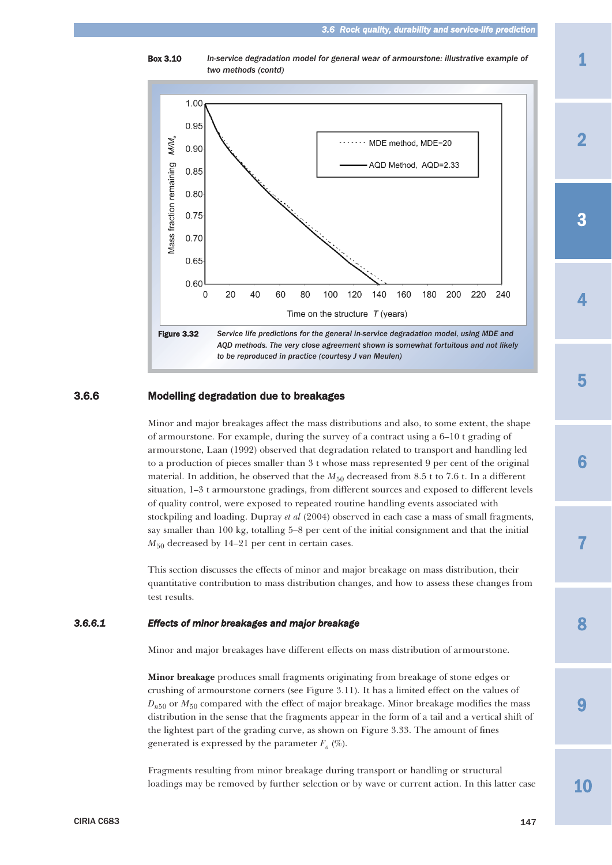Box 3.10 *In-service degradation model for general wear of armourstone: illustrative example of two methods (contd)*



# 3.6.6 Modelling degradation due to breakages

Minor and major breakages affect the mass distributions and also, to some extent, the shape of armourstone. For example, during the survey of a contract using a 6–10 t grading of armourstone, Laan (1992) observed that degradation related to transport and handling led to a production of pieces smaller than 3 t whose mass represented 9 per cent of the original material. In addition, he observed that the  $M_{50}$  decreased from 8.5 t to 7.6 t. In a different situation, 1–3 t armourstone gradings, from different sources and exposed to different levels of quality control, were exposed to repeated routine handling events associated with stockpiling and loading. Dupray *et al* (2004) observed in each case a mass of small fragments, say smaller than 100 kg, totalling 5–8 per cent of the initial consignment and that the initial *M*<sub>50</sub> decreased by 14–21 per cent in certain cases.

This section discusses the effects of minor and major breakage on mass distribution, their quantitative contribution to mass distribution changes, and how to assess these changes from test results.

# *3.6.6.1 Effects of minor breakages and major breakage*

Minor and major breakages have different effects on mass distribution of armourstone.

**Minor breakage** produces small fragments originating from breakage of stone edges or crushing of armourstone corners (see Figure 3.11). It has a limited effect on the values of  $D_{n50}$  or  $M_{50}$  compared with the effect of major breakage. Minor breakage modifies the mass distribution in the sense that the fragments appear in the form of a tail and a vertical shift of the lightest part of the grading curve, as shown on Figure 3.33. The amount of fines generated is expressed by the parameter  $F<sub>o</sub>$  (%).

Fragments resulting from minor breakage during transport or handling or structural loadings may be removed by further selection or by wave or current action. In this latter case 2

1

4

8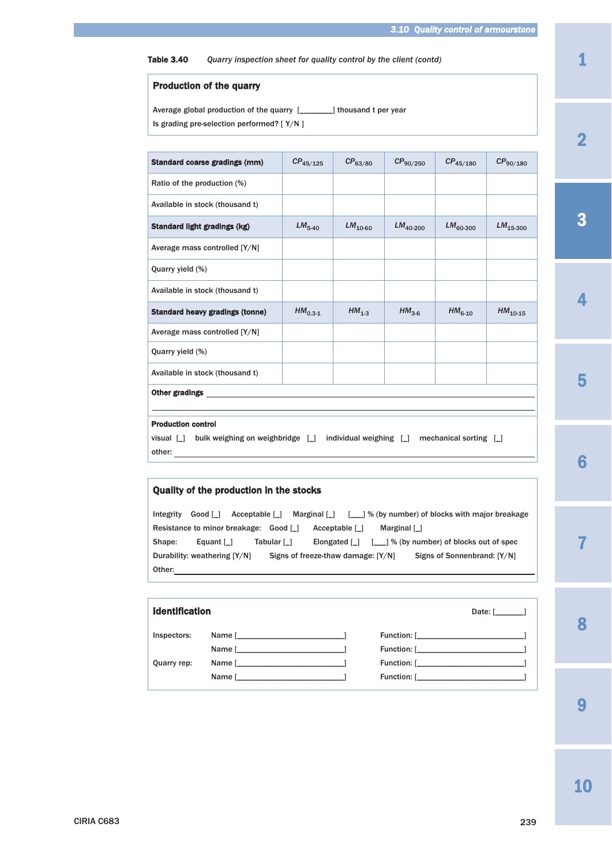Table 3.40 *Quarry inspection sheet for quality control by the client (contd)*

## Production of the quarry

Average global production of the quarry [\_\_\_\_\_\_\_\_] thousand t per year Is grading pre-selection performed? [ Y/N ]

| Standard coarse gradings (mm)                                                                                     | $CP_{45/125}$ | $CP_{63/80}$               | $CP_{90/250}$ | $CP_{45/180}$          | $CP_{90/180}$ |
|-------------------------------------------------------------------------------------------------------------------|---------------|----------------------------|---------------|------------------------|---------------|
| Ratio of the production (%)                                                                                       |               |                            |               |                        |               |
| Available in stock (thousand t)                                                                                   |               |                            |               |                        |               |
| Standard light gradings (kg)                                                                                      | $LM5-40$      | $LM_{10-60}$               | $LM_{40-200}$ | $LM_{60-300}$          | $LM_{15-300}$ |
| Average mass controlled [Y/N]                                                                                     |               |                            |               |                        |               |
| Quarry yield (%)                                                                                                  |               |                            |               |                        |               |
| Available in stock (thousand t)                                                                                   |               |                            |               |                        |               |
| <b>Standard heavy gradings (tonne)</b>                                                                            | $HM0.3-1$     | $HM1-3$                    | $HM3-6$       | $HM6-10$               | $HM10-15$     |
| Average mass controlled [Y/N]                                                                                     |               |                            |               |                        |               |
| Quarry yield (%)                                                                                                  |               |                            |               |                        |               |
| Available in stock (thousand t)                                                                                   |               |                            |               |                        |               |
| <b>Other gradings</b>                                                                                             |               |                            |               |                        |               |
|                                                                                                                   |               |                            |               |                        |               |
| <b>Production control</b>                                                                                         |               |                            |               |                        |               |
| visual $\begin{bmatrix} 1 \\ 0 \end{bmatrix}$ bulk weighing on weighbridge $\begin{bmatrix} 1 \\ 0 \end{bmatrix}$ |               | individual weighing $\Box$ |               | mechanical sorting [ ] |               |
| other:                                                                                                            |               |                            |               |                        |               |

# Quality of the production in the stocks

Integrity Good [\_] Acceptable [\_] Marginal [\_] [\_\_\_] % (by number) of blocks with major breakage Resistance to minor breakage: Good [\_] Acceptable [\_] Marginal [\_] Shape: Equant [\_] Tabular [\_] Elongated [\_] [\_\_] % (by number) of blocks out of spec Durability: weathering [Y/N] Signs of freeze-thaw damage: [Y/N] Signs of Sonnenbrand: [Y/N] Other:

| <b>Identification</b> |                                                                                                                                                                                                                                |  | Date: $\begin{bmatrix} 1 & 1 \end{bmatrix}$ |
|-----------------------|--------------------------------------------------------------------------------------------------------------------------------------------------------------------------------------------------------------------------------|--|---------------------------------------------|
|                       |                                                                                                                                                                                                                                |  | Function: [                                 |
|                       | Name [ 1 and 2 and 2 and 2 and 2 and 2 and 2 and 2 and 2 and 2 and 2 and 2 and 2 and 2 and 2 and 2 and 2 and 2                                                                                                                 |  |                                             |
| Quarry rep:           | Name [ 1 and 2 and 2 and 2 and 2 and 2 and 2 and 2 and 2 and 2 and 2 and 2 and 2 and 2 and 2 and 2 and 2 and 2 and 2 and 2 and 2 and 2 and 2 and 2 and 2 and 2 and 2 and 2 and 2 and 2 and 2 and 2 and 2 and 2 and 2 and 2 and |  |                                             |
|                       | Name [ <u>______________________</u> ]                                                                                                                                                                                         |  |                                             |

2

1

8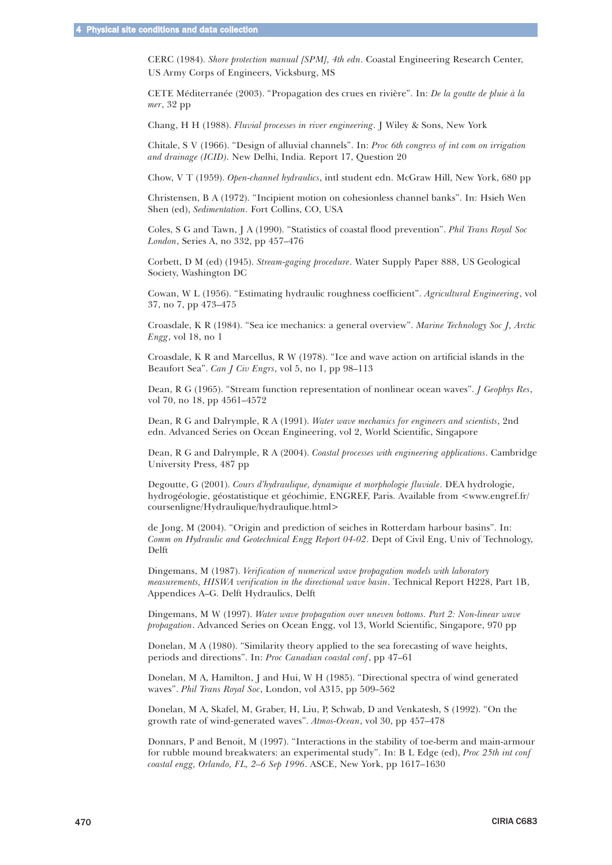CERC (1984). *Shore protection manual [SPM], 4th edn*. Coastal Engineering Research Center, US Army Corps of Engineers, Vicksburg, MS

CETE Méditerranée (2003). "Propagation des crues en rivière". In: *De la goutte de pluie à la mer*, 32 pp

Chang, H H (1988). *Fluvial processes in river engineering*. J Wiley & Sons, New York

Chitale, S V (1966). "Design of alluvial channels". In: *Proc 6th congress of int com on irrigation and drainage (ICID)*. New Delhi, India. Report 17, Question 20

Chow, V T (1959). *Open-channel hydraulics*, intl student edn. McGraw Hill, New York, 680 pp

Christensen, B A (1972). "Incipient motion on cohesionless channel banks". In: Hsieh Wen Shen (ed), *Sedimentation*. Fort Collins, CO, USA

Coles, S G and Tawn, J A (1990). "Statistics of coastal flood prevention". *Phil Trans Royal Soc London*, Series A, no 332, pp 457–476

Corbett, D M (ed) (1945). *Stream-gaging procedure*. Water Supply Paper 888, US Geological Society, Washington DC

Cowan, W L (1956). "Estimating hydraulic roughness coefficient". *Agricultural Engineering*, vol 37, no 7, pp 473–475

Croasdale, K R (1984). "Sea ice mechanics: a general overview". *Marine Technology Soc J, Arctic Engg*, vol 18, no 1

Croasdale, K R and Marcellus, R W (1978). "Ice and wave action on artificial islands in the Beaufort Sea". *Can J Civ Engrs*, vol 5, no 1, pp 98–113

Dean, R G (1965). "Stream function representation of nonlinear ocean waves". *J Geophys Res*, vol 70, no 18, pp 4561–4572

Dean, R G and Dalrymple, R A (1991). *Water wave mechanics for engineers and scientists*, 2nd edn. Advanced Series on Ocean Engineering, vol 2, World Scientific, Singapore

Dean, R G and Dalrymple, R A (2004). *Coastal processes with engineering applications*. Cambridge University Press, 487 pp

Degoutte, G (2001). *Cours d'hydraulique, dynamique et morphologie fluviale*. DEA hydrologie, hydrogéologie, géostatistique et géochimie, ENGREF, Paris. Available from <www.engref.fr/ coursenligne/Hydraulique/hydraulique.html>

de Jong, M (2004). "Origin and prediction of seiches in Rotterdam harbour basins". In: *Comm on Hydraulic and Geotechnical Engg Report 04-02*. Dept of Civil Eng, Univ of Technology, Delft

Dingemans, M (1987). *Verification of numerical wave propagation models with laboratory measurements, HISWA verification in the directional wave basin*. Technical Report H228, Part 1B, Appendices A–G. Delft Hydraulics, Delft

Dingemans, M W (1997). *Water wave propagation over uneven bottoms. Part 2: Non-linear wave propagation*. Advanced Series on Ocean Engg, vol 13, World Scientific, Singapore, 970 pp

Donelan, M A (1980). "Similarity theory applied to the sea forecasting of wave heights, periods and directions". In: *Proc Canadian coastal conf*, pp 47–61

Donelan, M A, Hamilton, J and Hui, W H (1985). "Directional spectra of wind generated waves". *Phil Trans Royal Soc*, London, vol A315, pp 509–562

Donelan, M A, Skafel, M, Graber, H, Liu, P, Schwab, D and Venkatesh, S (1992). "On the growth rate of wind-generated waves". *Atmos-Ocean*, vol 30, pp 457–478

Donnars, P and Benoit, M (1997). "Interactions in the stability of toe-berm and main-armour for rubble mound breakwaters: an experimental study". In: B L Edge (ed), *Proc 25th int conf coastal engg, Orlando, FL, 2–6 Sep 1996*. ASCE, New York, pp 1617–1630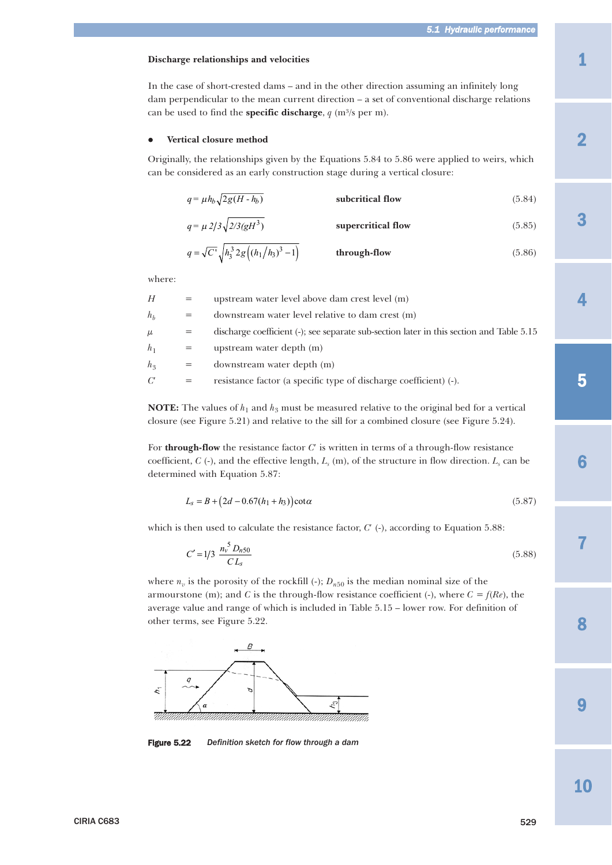#### **Discharge relationships and velocities**

In the case of short-crested dams – and in the other direction assuming an infinitely long dam perpendicular to the mean current direction – a set of conventional discharge relations can be used to find the **specific discharge**,  $q$  (m<sup>3</sup>/s per m).

#### $\bullet$ **Vertical closure method**

Originally, the relationships given by the Equations 5.84 to 5.86 were applied to weirs, which can be considered as an early construction stage during a vertical closure:

| $q = \mu h_b \sqrt{2g(H - h_b)}$ | subcritical flow | (5.84) |
|----------------------------------|------------------|--------|
|                                  |                  |        |

$$
q = \mu \, 2/3 \sqrt{2/3} (gH^3)
$$
 supercritical flow (5.85)

$$
q = \sqrt{C'} \sqrt{h_3^3 2g \left( (h_1/h_3)^3 - 1 \right)}
$$
 through-flow (5.86)

where:

| Н              | $=$ | upstream water level above dam crest level (m)                                           |
|----------------|-----|------------------------------------------------------------------------------------------|
| $h_h$          | $=$ | downstream water level relative to dam crest (m)                                         |
| $\mu$          | $=$ | discharge coefficient (-); see separate sub-section later in this section and Table 5.15 |
| $h_1$          | $=$ | upstream water depth (m)                                                                 |
| h <sub>3</sub> | $=$ | downstream water depth (m)                                                               |
| C'             | $=$ | resistance factor (a specific type of discharge coefficient) (-).                        |

**NOTE:** The values of  $h_1$  and  $h_3$  must be measured relative to the original bed for a vertical closure (see Figure 5.21) and relative to the sill for a combined closure (see Figure 5.24).

For **through-flow** the resistance factor *C*′ is written in terms of a through-flow resistance coefficient, *C* (-), and the effective length,  $L_s$  (m), of the structure in flow direction.  $L_s$  can be determined with Equation 5.87:

$$
L_s = B + (2d - 0.67(h_1 + h_3)) \cot \alpha \tag{5.87}
$$

which is then used to calculate the resistance factor,  $C'$  (-), according to Equation 5.88:

$$
C' = 1/3 \frac{n_v^5 D_{n50}}{CL_s}
$$
\n(5.88)

where  $n_v$  is the porosity of the rockfill (-);  $D_{n50}$  is the median nominal size of the armourstone (m); and *C* is the through-flow resistance coefficient (-), where  $C = f(Re)$ , the average value and range of which is included in Table 5.15 – lower row. For definition of other terms, see Figure 5.22.



Figure 5.22 *Definition sketch for flow through a dam*

9

8

7

6

3

2

4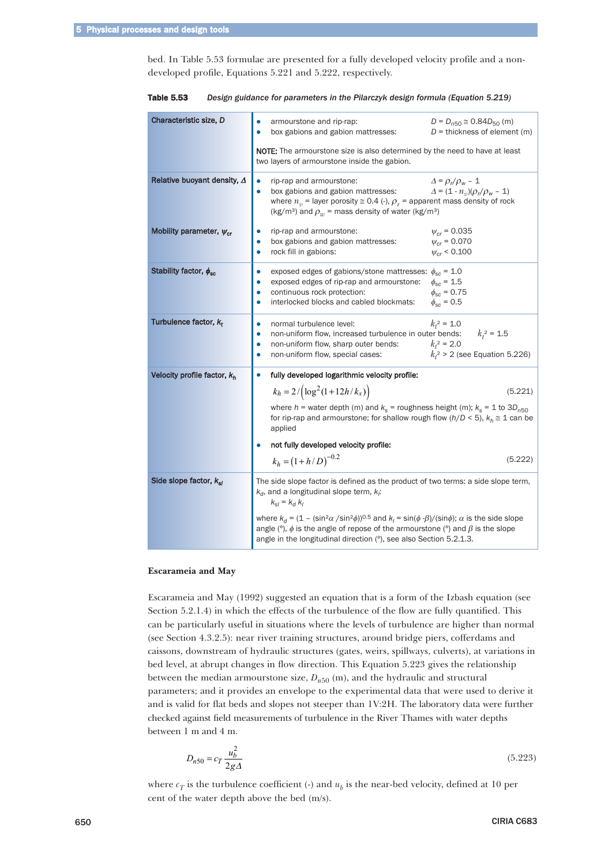bed. In Table 5.53 formulae are presented for a fully developed velocity profile and a nondeveloped profile, Equations 5.221 and 5.222, respectively.

| Characteristic size, D             | armourstone and rip-rap:<br>$D = D_{n50} \approx 0.84 D_{50}$ (m)<br>box gabions and gabion mattresses:<br>$D =$ thickness of element (m)                                                            |  |
|------------------------------------|------------------------------------------------------------------------------------------------------------------------------------------------------------------------------------------------------|--|
|                                    |                                                                                                                                                                                                      |  |
|                                    | <b>NOTE:</b> The armourstone size is also determined by the need to have at least                                                                                                                    |  |
|                                    | two layers of armourstone inside the gabion.                                                                                                                                                         |  |
| Relative buoyant density, $\Delta$ | rip-rap and armourstone:<br>$\Delta = \rho_r/\rho_w - 1$                                                                                                                                             |  |
|                                    | box gabions and gabion mattresses:<br>$\Delta = (1 - n_v) (\rho_r / \rho_w - 1)$                                                                                                                     |  |
|                                    | where $n_v$ = layer porosity $\cong$ 0.4 (-), $\rho_r$ = apparent mass density of rock<br>(kg/m <sup>3</sup> ) and $\rho_w$ = mass density of water (kg/m <sup>3</sup> )                             |  |
| Mobility parameter, $\psi_{cr}$    | rip-rap and armourstone:<br>$\psi_{cr}$ = 0.035                                                                                                                                                      |  |
|                                    | $\psi_{cr} = 0.070$<br>box gabions and gabion mattresses:                                                                                                                                            |  |
|                                    | rock fill in gabions:<br>$w_{cr}$ < 0.100                                                                                                                                                            |  |
| Stability factor, $\phi_{\rm sc}$  | exposed edges of gabions/stone mattresses: $\phi_{sc}$ = 1.0<br>٠                                                                                                                                    |  |
|                                    | exposed edges of rip-rap and armourstone:<br>$\phi_{\text{sc}} = 1.5$<br>$\bullet$                                                                                                                   |  |
|                                    | $\phi_{sc} = 0.75$<br>continuous rock protection:<br>$\bullet$                                                                                                                                       |  |
|                                    | interlocked blocks and cabled blockmats:<br>$\phi_{\rm sc}$ = 0.5                                                                                                                                    |  |
| Turbulence factor, $k_t$           | $k_t^2$ = 1.0<br>normal turbulence level:<br>۰                                                                                                                                                       |  |
|                                    | non-uniform flow, increased turbulence in outer bends: $k_t^2 = 1.5$<br>$\bullet$                                                                                                                    |  |
|                                    | $k_1^2 = 2.0$<br>non-uniform flow, sharp outer bends:<br>٠                                                                                                                                           |  |
|                                    | $k_1^2 > 2$ (see Equation 5.226)<br>non-uniform flow, special cases:<br>$\bullet$                                                                                                                    |  |
| Velocity profile factor, $k_h$     | fully developed logarithmic velocity profile:                                                                                                                                                        |  |
|                                    | $k_h = 2 / (\log^2(1 + 12h/k_s))$<br>(5.221)                                                                                                                                                         |  |
|                                    | where $h$ = water depth (m) and $k_s$ = roughness height (m); $k_s$ = 1 to 3D <sub>n50</sub><br>for rip-rap and armourstone; for shallow rough flow ( $h/D < 5$ ), $k_h \approx 1$ can be<br>applied |  |
|                                    | not fully developed velocity profile:                                                                                                                                                                |  |
|                                    | $k_h = (1 + h/D)^{-0.2}$<br>(5.222)                                                                                                                                                                  |  |
|                                    |                                                                                                                                                                                                      |  |
| Side slope factor, $k_{sl}$        | The side slope factor is defined as the product of two terms: a side slope term,                                                                                                                     |  |
|                                    | $k_d$ , and a longitudinal slope term, $k_i$ :                                                                                                                                                       |  |
|                                    | $k_{el} = k_d k_l$                                                                                                                                                                                   |  |
|                                    | where $k_d = (1 - (\sin^2 \alpha / \sin^2 \phi))^{0.5}$ and $k_l = \sin(\phi \cdot \beta) / (\sin \phi)$ ; $\alpha$ is the side slope                                                                |  |
|                                    | angle ( $\degree$ ), $\phi$ is the angle of repose of the armourstone ( $\degree$ ) and $\beta$ is the slope                                                                                         |  |
|                                    | angle in the longitudinal direction (°), see also Section 5.2.1.3.                                                                                                                                   |  |
|                                    |                                                                                                                                                                                                      |  |

Table 5.53 *Design guidance for parameters in the Pilarczyk design formula (Equation 5.219)*

#### **Escarameia and May**

Escarameia and May (1992) suggested an equation that is a form of the Izbash equation (see Section 5.2.1.4) in which the effects of the turbulence of the flow are fully quantified. This can be particularly useful in situations where the levels of turbulence are higher than normal (see Section 4.3.2.5): near river training structures, around bridge piers, cofferdams and caissons, downstream of hydraulic structures (gates, weirs, spillways, culverts), at variations in bed level, at abrupt changes in flow direction. This Equation 5.223 gives the relationship between the median armourstone size,  $D_{n50}$  (m), and the hydraulic and structural parameters; and it provides an envelope to the experimental data that were used to derive it and is valid for flat beds and slopes not steeper than 1V:2H. The laboratory data were further checked against field measurements of turbulence in the River Thames with water depths between 1 m and 4 m.

$$
D_{n50} = c_T \frac{u_b^2}{2g\Delta} \tag{5.223}
$$

where  $c_T$  is the turbulence coefficient (-) and  $u_b$  is the near-bed velocity, defined at 10 per cent of the water depth above the bed (m/s).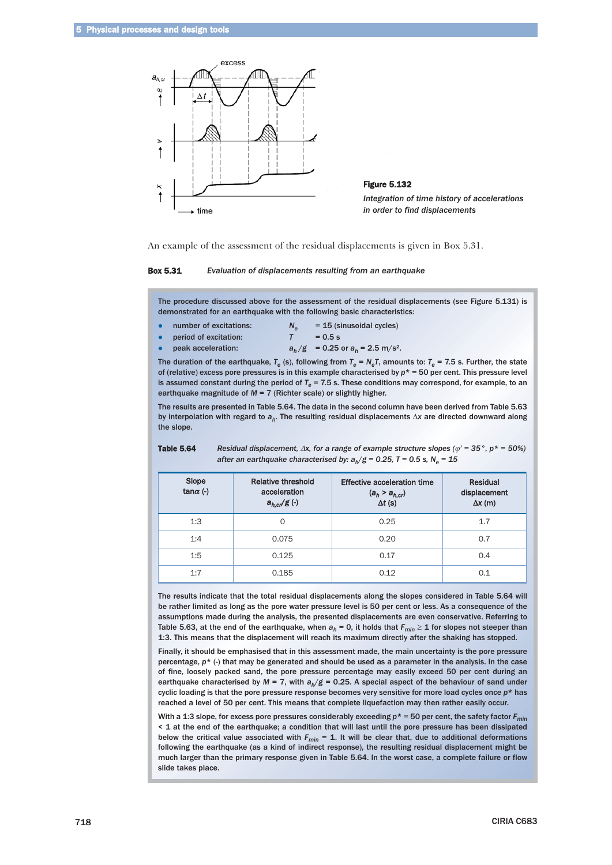

An example of the assessment of the residual displacements is given in Box 5.31.



The procedure discussed above for the assessment of the residual displacements (see Figure 5.131) is demonstrated for an earthquake with the following basic characteristics:

| number of excitations: | $N_{\alpha}$ | $= 15$ (sinusoidal cycles)                       |
|------------------------|--------------|--------------------------------------------------|
| period of excitation:  |              | $= 0.5$ s                                        |
| peak acceleration:     |              | $a_h/g = 0.25$ or $a_h = 2.5$ m/s <sup>2</sup> . |

The duration of the earthquake,  $T_e$  (s), following from  $T_e = N_e T$ , amounts to:  $T_e = 7.5$  s. Further, the state of (relative) excess pore pressures is in this example characterised by *p*\* = 50 per cent. This pressure level is assumed constant during the period of  $T_e$  = 7.5 s. These conditions may correspond, for example, to an earthquake magnitude of *M* = 7 (Richter scale) or slightly higher.

The results are presented in Table 5.64. The data in the second column have been derived from Table 5.63 by interpolation with regard to *ah*. The resulting residual displacements Δ*x* are directed downward along the slope.

| Slope<br>tan $\alpha$ (-) | Relative threshold<br>acceleration<br>$a_{h,cr}/g$ (-) | Effective acceleration time<br>$(a_h > a_{h,cr})$<br>$\Delta t$ (s) | Residual<br>displacement<br>$\Delta x$ (m) |
|---------------------------|--------------------------------------------------------|---------------------------------------------------------------------|--------------------------------------------|
| 1:3                       | $\Omega$                                               | 0.25                                                                | 1.7                                        |
| 1:4                       | 0.075                                                  | 0.20                                                                | 0.7                                        |
| 1:5                       | 0.125                                                  | 0.17                                                                | 0.4                                        |
| 1:7                       | 0.185                                                  | 0.12                                                                | 0.1                                        |

Table 5.64 *Residual displacement,* <sup>Δ</sup>*x, for a range of example structure slopes (*ϕ′ *= 35°, p\* = 50%) after an earthquake characterised by:*  $a_h/g = 0.25$ ,  $T = 0.5$  s,  $N_e = 15$ 

The results indicate that the total residual displacements along the slopes considered in Table 5.64 will be rather limited as long as the pore water pressure level is 50 per cent or less. As a consequence of the assumptions made during the analysis, the presented displacements are even conservative. Referring to Table 5.63, at the end of the earthquake, when  $a_h = 0$ , it holds that  $F_{min} \ge 1$  for slopes not steeper than 1:3. This means that the displacement will reach its maximum directly after the shaking has stopped.

Finally, it should be emphasised that in this assessment made, the main uncertainty is the pore pressure percentage,  $p^*$  (-) that may be generated and should be used as a parameter in the analysis. In the case of fine, loosely packed sand, the pore pressure percentage may easily exceed 50 per cent during an earthquake characterised by  $M = 7$ , with  $a<sub>h</sub>/g = 0.25$ . A special aspect of the behaviour of sand under cyclic loading is that the pore pressure response becomes very sensitive for more load cycles once *p*\* has reached a level of 50 per cent. This means that complete liquefaction may then rather easily occur.

With a 1:3 slope, for excess pore pressures considerably exceeding  $p^* = 50$  per cent, the safety factor  $F_{min}$ < 1 at the end of the earthquake; a condition that will last until the pore pressure has been dissipated below the critical value associated with  $F_{min} = 1$ . It will be clear that, due to additional deformations following the earthquake (as a kind of indirect response), the resulting residual displacement might be much larger than the primary response given in Table 5.64. In the worst case, a complete failure or flow slide takes place.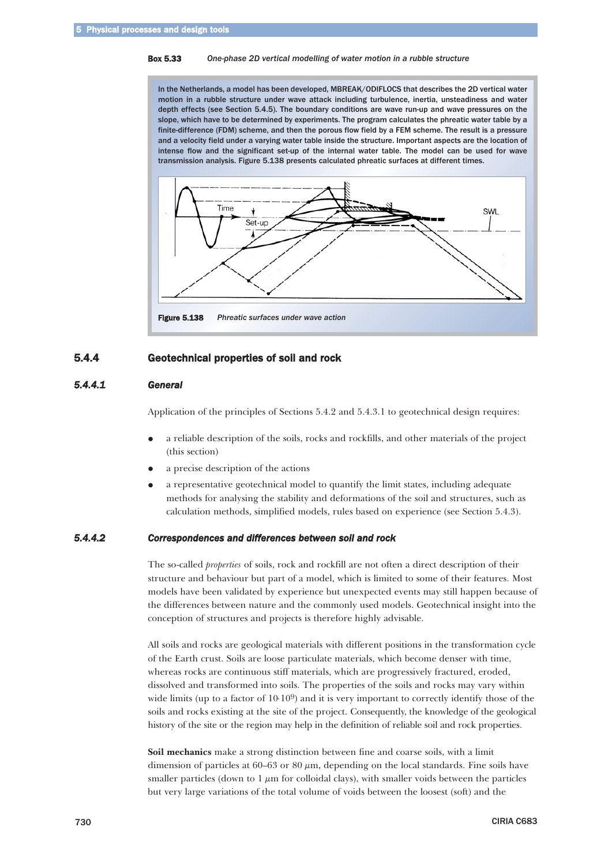#### Box 5.33 *One-phase 2D vertical modelling of water motion in a rubble structure*

In the Netherlands, a model has been developed, MBREAK/ODIFLOCS that describes the 2D vertical water motion in a rubble structure under wave attack including turbulence, inertia, unsteadiness and water depth effects (see Section 5.4.5). The boundary conditions are wave run-up and wave pressures on the slope, which have to be determined by experiments. The program calculates the phreatic water table by a finite-difference (FDM) scheme, and then the porous flow field by a FEM scheme. The result is a pressure and a velocity field under a varying water table inside the structure. Important aspects are the location of intense flow and the significant set-up of the internal water table. The model can be used for wave transmission analysis. Figure 5.138 presents calculated phreatic surfaces at different times.



# 5.4.4 Geotechnical properties of soil and rock

# *5.4.4.1 General*

Application of the principles of Sections 5.4.2 and 5.4.3.1 to geotechnical design requires:

- $\bullet$  a reliable description of the soils, rocks and rockfills, and other materials of the project (this section)
- $\bullet$ a precise description of the actions
- $\bullet$  a representative geotechnical model to quantify the limit states, including adequate methods for analysing the stability and deformations of the soil and structures, such as calculation methods, simplified models, rules based on experience (see Section 5.4.3).

# *5.4.4.2 Correspondences and differences between soil and rock*

The so-called *properties* of soils, rock and rockfill are not often a direct description of their structure and behaviour but part of a model, which is limited to some of their features. Most models have been validated by experience but unexpected events may still happen because of the differences between nature and the commonly used models. Geotechnical insight into the conception of structures and projects is therefore highly advisable.

All soils and rocks are geological materials with different positions in the transformation cycle of the Earth crust. Soils are loose particulate materials, which become denser with time, whereas rocks are continuous stiff materials, which are progressively fractured, eroded, dissolved and transformed into soils. The properties of the soils and rocks may vary within wide limits (up to a factor of  $10·10<sup>9</sup>$ ) and it is very important to correctly identify those of the soils and rocks existing at the site of the project. Consequently, the knowledge of the geological history of the site or the region may help in the definition of reliable soil and rock properties.

**Soil mechanics** make a strong distinction between fine and coarse soils, with a limit dimension of particles at 60–63 or 80 μm, depending on the local standards. Fine soils have smaller particles (down to  $1 \mu m$  for colloidal clays), with smaller voids between the particles but very large variations of the total volume of voids between the loosest (soft) and the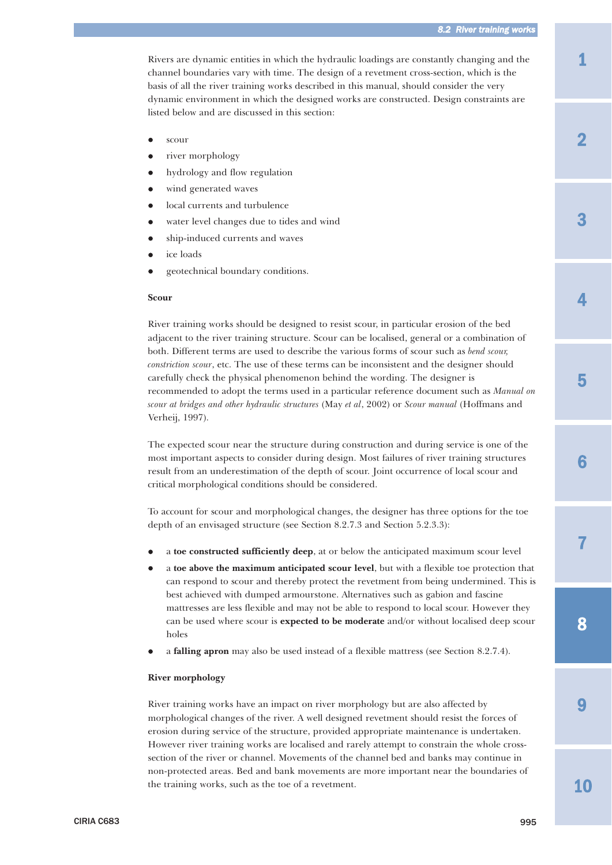1

3

2

 $\blacktriangle$ 

Rivers are dynamic entities in which the hydraulic loadings are constantly changing and the channel boundaries vary with time. The design of a revetment cross-section, which is the basis of all the river training works described in this manual, should consider the very dynamic environment in which the designed works are constructed. Design constraints are listed below and are discussed in this section:

- $\bullet$ scour
- $\bullet$ river morphology
- $\bullet$ hydrology and flow regulation
- $\bullet$ wind generated waves
- $\bullet$ local currents and turbulence
- $\bullet$ water level changes due to tides and wind
- $\bullet$ ship-induced currents and waves
- $\bullet$ ice loads
- $\bullet$ geotechnical boundary conditions.

## **Scour**

River training works should be designed to resist scour, in particular erosion of the bed adjacent to the river training structure. Scour can be localised, general or a combination of both. Different terms are used to describe the various forms of scour such as *bend scour, constriction scour*, etc. The use of these terms can be inconsistent and the designer should carefully check the physical phenomenon behind the wording. The designer is recommended to adopt the terms used in a particular reference document such as *Manual on scour at bridges and other hydraulic structures* (May *et al*, 2002) or *Scour manual* (Hoffmans and Verheij, 1997).

The expected scour near the structure during construction and during service is one of the most important aspects to consider during design. Most failures of river training structures result from an underestimation of the depth of scour. Joint occurrence of local scour and critical morphological conditions should be considered.

To account for scour and morphological changes, the designer has three options for the toe depth of an envisaged structure (see Section 8.2.7.3 and Section 5.2.3.3):

- $\bullet$ a **toe constructed sufficiently deep**, at or below the anticipated maximum scour level
- $\bullet$  a **toe above the maximum anticipated scour level**, but with a flexible toe protection that can respond to scour and thereby protect the revetment from being undermined. This is best achieved with dumped armourstone. Alternatives such as gabion and fascine mattresses are less flexible and may not be able to respond to local scour. However they can be used where scour is **expected to be moderate** and/or without localised deep scour holes
- $\bullet$ a **falling apron** may also be used instead of a flexible mattress (see Section 8.2.7.4).

#### **River morphology**

River training works have an impact on river morphology but are also affected by morphological changes of the river. A well designed revetment should resist the forces of erosion during service of the structure, provided appropriate maintenance is undertaken. However river training works are localised and rarely attempt to constrain the whole crosssection of the river or channel. Movements of the channel bed and banks may continue in non-protected areas. Bed and bank movements are more important near the boundaries of the training works, such as the toe of a revetment.

9

8

7

6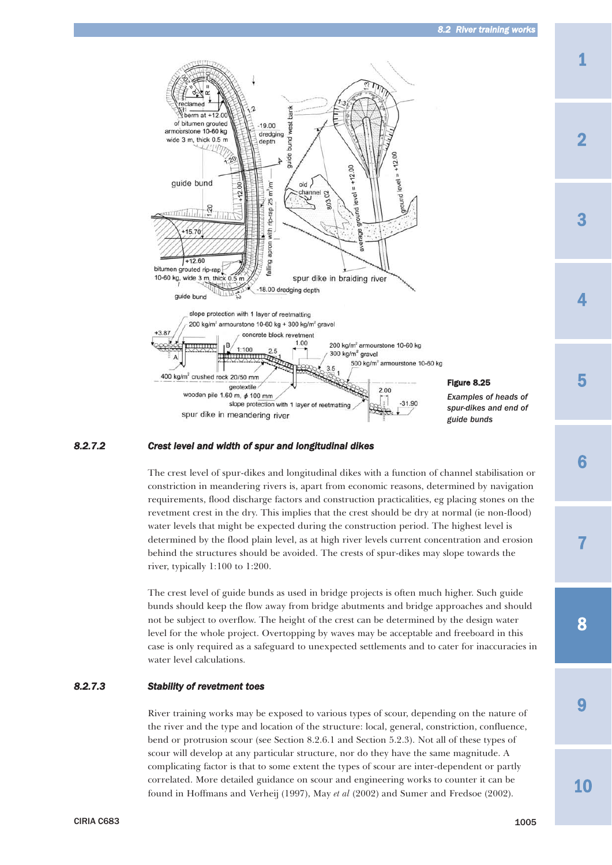

# *8.2.7.2 Crest level and width of spur and longitudinal dikes*

The crest level of spur-dikes and longitudinal dikes with a function of channel stabilisation or constriction in meandering rivers is, apart from economic reasons, determined by navigation requirements, flood discharge factors and construction practicalities, eg placing stones on the revetment crest in the dry. This implies that the crest should be dry at normal (ie non-flood) water levels that might be expected during the construction period. The highest level is determined by the flood plain level, as at high river levels current concentration and erosion behind the structures should be avoided. The crests of spur-dikes may slope towards the river, typically 1:100 to 1:200.

The crest level of guide bunds as used in bridge projects is often much higher. Such guide bunds should keep the flow away from bridge abutments and bridge approaches and should not be subject to overflow. The height of the crest can be determined by the design water level for the whole project. Overtopping by waves may be acceptable and freeboard in this case is only required as a safeguard to unexpected settlements and to cater for inaccuracies in water level calculations.

## *8.2.7.3 Stability of revetment toes*

River training works may be exposed to various types of scour, depending on the nature of the river and the type and location of the structure: local, general, constriction, confluence, bend or protrusion scour (see Section 8.2.6.1 and Section 5.2.3). Not all of these types of scour will develop at any particular structure, nor do they have the same magnitude. A complicating factor is that to some extent the types of scour are inter-dependent or partly correlated. More detailed guidance on scour and engineering works to counter it can be found in Hoffmans and Verheij (1997), May *et al* (2002) and Sumer and Fredsoe (2002).

10

9

8

7

6

3

2

 $\blacktriangle$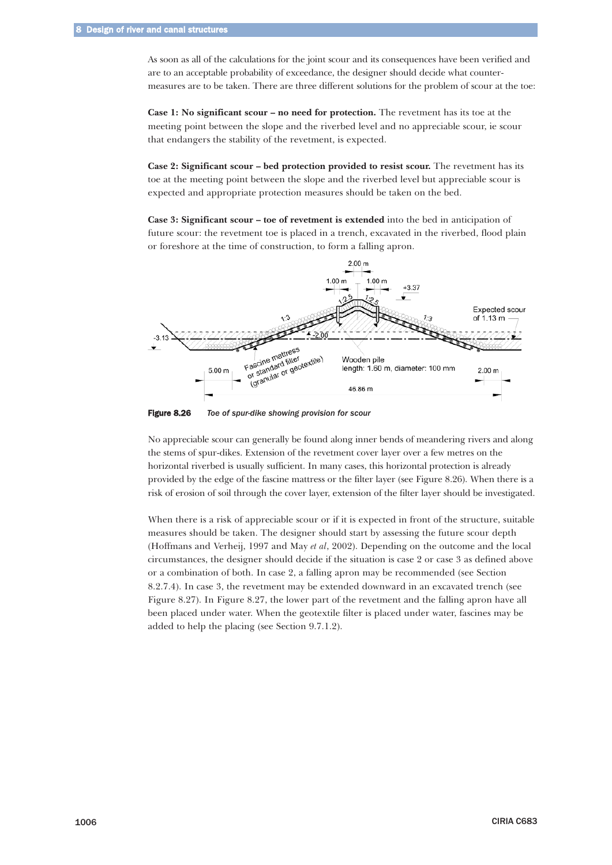As soon as all of the calculations for the joint scour and its consequences have been verified and are to an acceptable probability of exceedance, the designer should decide what countermeasures are to be taken. There are three different solutions for the problem of scour at the toe:

**Case 1: No significant scour – no need for protection.** The revetment has its toe at the meeting point between the slope and the riverbed level and no appreciable scour, ie scour that endangers the stability of the revetment, is expected.

**Case 2: Significant scour – bed protection provided to resist scour.** The revetment has its toe at the meeting point between the slope and the riverbed level but appreciable scour is expected and appropriate protection measures should be taken on the bed.

**Case 3: Significant scour – toe of revetment is extended** into the bed in anticipation of future scour: the revetment toe is placed in a trench, excavated in the riverbed, flood plain or foreshore at the time of construction, to form a falling apron.



Figure 8.26 *Toe of spur-dike showing provision for scour*

No appreciable scour can generally be found along inner bends of meandering rivers and along the stems of spur-dikes. Extension of the revetment cover layer over a few metres on the horizontal riverbed is usually sufficient. In many cases, this horizontal protection is already provided by the edge of the fascine mattress or the filter layer (see Figure 8.26). When there is a risk of erosion of soil through the cover layer, extension of the filter layer should be investigated.

When there is a risk of appreciable scour or if it is expected in front of the structure, suitable measures should be taken. The designer should start by assessing the future scour depth (Hoffmans and Verheij, 1997 and May *et al*, 2002). Depending on the outcome and the local circumstances, the designer should decide if the situation is case 2 or case 3 as defined above or a combination of both. In case 2, a falling apron may be recommended (see Section 8.2.7.4). In case 3, the revetment may be extended downward in an excavated trench (see Figure 8.27). In Figure 8.27, the lower part of the revetment and the falling apron have all been placed under water. When the geotextile filter is placed under water, fascines may be added to help the placing (see Section 9.7.1.2).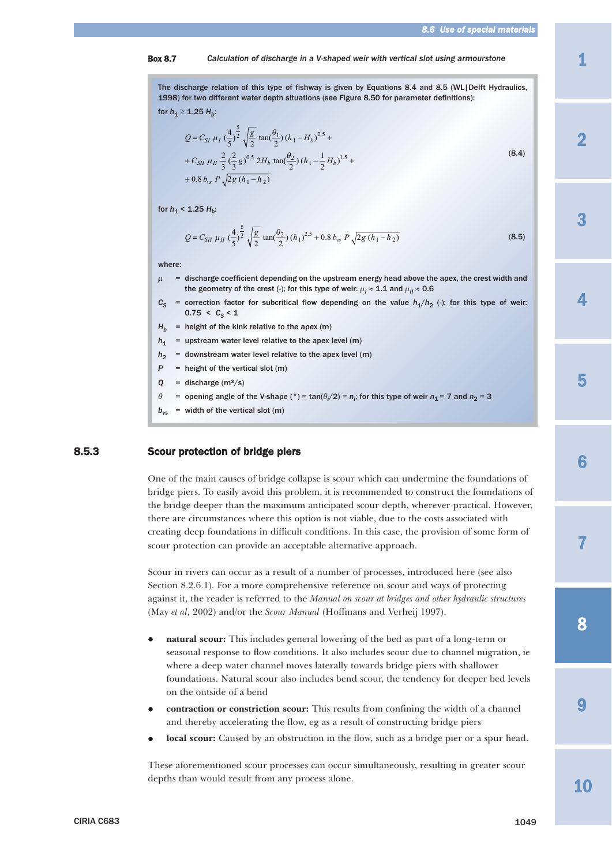#### Box 8.7 *Calculation of discharge in a V-shaped weir with vertical slot using armourstone*

The discharge relation of this type of fishway is given by Equations 8.4 and 8.5 (WL|Delft Hydraulics, 1998) for two different water depth situations (see Figure 8.50 for parameter definitions):

$$
\text{for } h_1 \geq \textbf{1.25 } H_b:
$$

$$
Q = C_{SI} \mu_I \left(\frac{4}{5}\right)^{\frac{5}{2}} \sqrt{\frac{g}{2}} \tan\left(\frac{\theta_1}{2}\right) (h_1 - H_b)^{2.5} +
$$
  
+  $C_{SII} \mu_{II} \frac{2}{3} \left(\frac{2}{3} g\right)^{0.5} 2H_b \tan\left(\frac{\theta_2}{2}\right) (h_1 - \frac{1}{2} H_b)^{1.5} +$   
+ 0.8  $b_{vs} P \sqrt{2g (h_1 - h_2)}$  (8.4)

for  $h_1$  < 1.25  $H_b$ :

$$
Q = C_{SII} \mu_H \left(\frac{4}{5}\right)^{\frac{5}{2}} \sqrt{\frac{g}{2}} \tan(\frac{\theta_2}{2}) \left(h_1\right)^{2.5} + 0.8 \, b_{vs} \, P \sqrt{2g \left(h_1 - h_2\right)} \tag{8.5}
$$

where:

- $\mu$  = discharge coefficient depending on the upstream energy head above the apex, the crest width and the geometry of the crest (-); for this type of weir:  $\mu_I \approx 1.1$  and  $\mu_{II} \approx 0.6$
- $C_S$  = correction factor for subcritical flow depending on the value  $h_1/h_2$  (-); for this type of weir:  $0.75 < C_S < 1$
- $H_b$  = height of the kink relative to the apex (m)
- $h_1$  = upstream water level relative to the apex level (m)
- $h<sub>2</sub>$  = downstream water level relative to the apex level (m)
- $P =$  height of the vertical slot (m)
- $Q =$  discharge  $(m^3/s)$
- $\theta$  = opening angle of the V-shape (°) = tan( $\theta$ <sub>i</sub>/2) =  $n_i$ ; for this type of weir  $n_1$  = 7 and  $n_2$  = 3
- $b_{vs}$  = width of the vertical slot (m)

## 8.5.3 Scour protection of bridge piers

One of the main causes of bridge collapse is scour which can undermine the foundations of bridge piers. To easily avoid this problem, it is recommended to construct the foundations of the bridge deeper than the maximum anticipated scour depth, wherever practical. However, there are circumstances where this option is not viable, due to the costs associated with creating deep foundations in difficult conditions. In this case, the provision of some form of scour protection can provide an acceptable alternative approach.

Scour in rivers can occur as a result of a number of processes, introduced here (see also Section 8.2.6.1). For a more comprehensive reference on scour and ways of protecting against it, the reader is referred to the *Manual on scour at bridges and other hydraulic structures* (May *et al*, 2002) and/or the *Scour Manual* (Hoffmans and Verheij 1997).

- $\bullet$  **natural scour:** This includes general lowering of the bed as part of a long-term or seasonal response to flow conditions. It also includes scour due to channel migration, ie where a deep water channel moves laterally towards bridge piers with shallower foundations. Natural scour also includes bend scour, the tendency for deeper bed levels on the outside of a bend
- $\bullet$  **contraction or constriction scour:** This results from confining the width of a channel and thereby accelerating the flow, eg as a result of constructing bridge piers
- $\bullet$ **local scour:** Caused by an obstruction in the flow, such as a bridge pier or a spur head.

These aforementioned scour processes can occur simultaneously, resulting in greater scour depths than would result from any process alone.

2

3

 $\blacktriangle$ 

5

8

7

6

9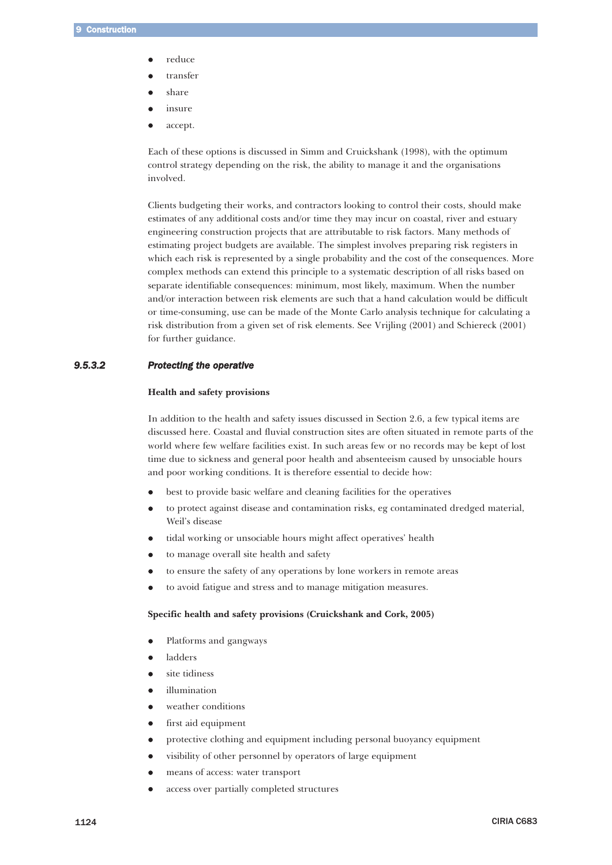- $\bullet$ reduce
- $\bullet$ transfer
- $\bullet$ share
- $\bullet$ insure
- $\bullet$ accept.

Each of these options is discussed in Simm and Cruickshank (1998), with the optimum control strategy depending on the risk, the ability to manage it and the organisations involved.

Clients budgeting their works, and contractors looking to control their costs, should make estimates of any additional costs and/or time they may incur on coastal, river and estuary engineering construction projects that are attributable to risk factors. Many methods of estimating project budgets are available. The simplest involves preparing risk registers in which each risk is represented by a single probability and the cost of the consequences. More complex methods can extend this principle to a systematic description of all risks based on separate identifiable consequences: minimum, most likely, maximum. When the number and/or interaction between risk elements are such that a hand calculation would be difficult or time-consuming, use can be made of the Monte Carlo analysis technique for calculating a risk distribution from a given set of risk elements. See Vrijling (2001) and Schiereck (2001) for further guidance.

# *9.5.3.2 Protecting the operative*

#### **Health and safety provisions**

In addition to the health and safety issues discussed in Section 2.6, a few typical items are discussed here. Coastal and fluvial construction sites are often situated in remote parts of the world where few welfare facilities exist. In such areas few or no records may be kept of lost time due to sickness and general poor health and absenteeism caused by unsociable hours and poor working conditions. It is therefore essential to decide how:

- $\bullet$ best to provide basic welfare and cleaning facilities for the operatives
- $\bullet$  to protect against disease and contamination risks, eg contaminated dredged material, Weil's disease
- $\bullet$ tidal working or unsociable hours might affect operatives' health
- $\bullet$ to manage overall site health and safety
- $\bullet$ to ensure the safety of any operations by lone workers in remote areas
- $\bullet$ to avoid fatigue and stress and to manage mitigation measures.

# **Specific health and safety provisions (Cruickshank and Cork, 2005)**

- $\bullet$ Platforms and gangways
- $\bullet$ ladders
- $\bullet$ site tidiness
- $\bullet$ illumination
- $\bullet$ weather conditions
- $\bullet$ first aid equipment
- $\bullet$ protective clothing and equipment including personal buoyancy equipment
- $\bullet$ visibility of other personnel by operators of large equipment
- $\bullet$ means of access: water transport
- $\bullet$ access over partially completed structures